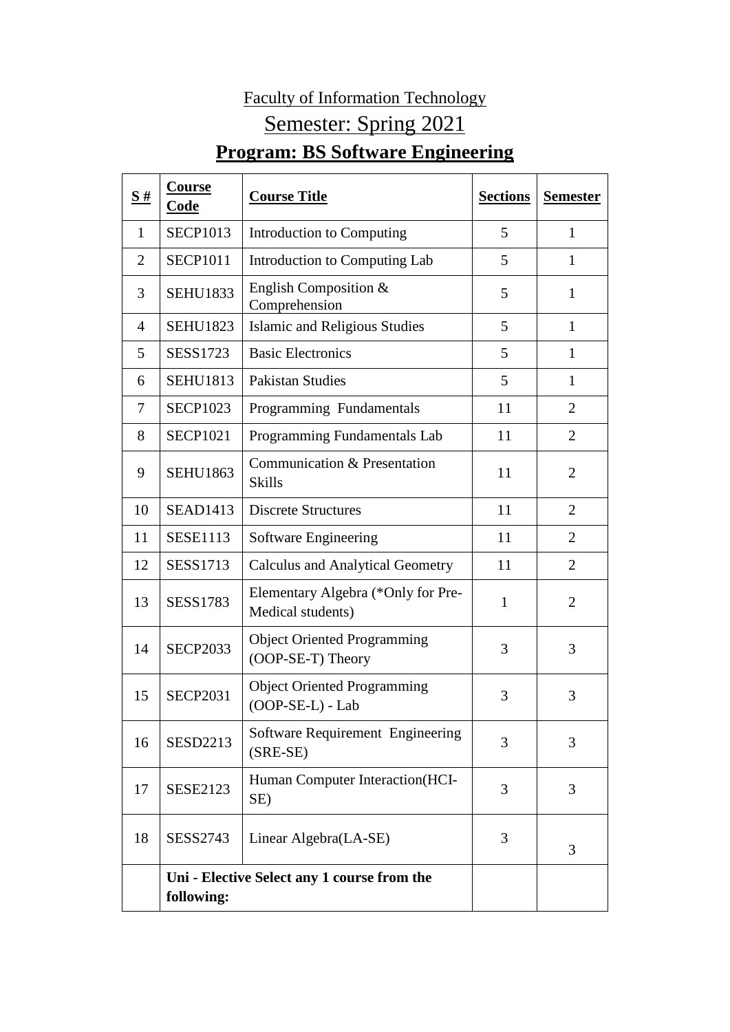## Faculty of Information Technology Semester: Spring 2021 **Program: BS Software Engineering**

| $\frac{\mathbf{S}}{4}$ | Course<br>Code  | <b>Course Title</b>                                     | <b>Sections</b> | <b>Semester</b> |
|------------------------|-----------------|---------------------------------------------------------|-----------------|-----------------|
| 1                      | <b>SECP1013</b> | Introduction to Computing                               | 5               | 1               |
| $\overline{2}$         | <b>SECP1011</b> | Introduction to Computing Lab                           | 5               | 1               |
| 3                      | <b>SEHU1833</b> | English Composition $&$<br>Comprehension                | 5               | $\mathbf{1}$    |
| 4                      | <b>SEHU1823</b> | Islamic and Religious Studies                           | 5               | $\mathbf{1}$    |
| 5                      | <b>SESS1723</b> | <b>Basic Electronics</b>                                | 5               | $\mathbf{1}$    |
| 6                      | <b>SEHU1813</b> | <b>Pakistan Studies</b>                                 | 5               | $\mathbf{1}$    |
| 7                      | <b>SECP1023</b> | Programming Fundamentals                                | 11              | $\overline{2}$  |
| 8                      | <b>SECP1021</b> | Programming Fundamentals Lab                            | 11              | $\overline{2}$  |
| 9                      | <b>SEHU1863</b> | Communication & Presentation<br><b>Skills</b>           | 11              | $\overline{2}$  |
| 10                     | <b>SEAD1413</b> | <b>Discrete Structures</b>                              | 11              | $\overline{2}$  |
| 11                     | <b>SESE1113</b> | Software Engineering                                    | 11              | $\overline{2}$  |
| 12                     | <b>SESS1713</b> | <b>Calculus and Analytical Geometry</b>                 | 11              | $\overline{2}$  |
| 13                     | <b>SESS1783</b> | Elementary Algebra (*Only for Pre-<br>Medical students) | $\mathbf{1}$    | $\overline{2}$  |
| 14                     | <b>SECP2033</b> | <b>Object Oriented Programming</b><br>(OOP-SE-T) Theory | 3               | 3               |
| 15                     | <b>SECP2031</b> | <b>Object Oriented Programming</b><br>(OOP-SE-L) - Lab  | 3               | 3               |
| 16                     | <b>SESD2213</b> | Software Requirement Engineering<br>$(SRE-SE)$          | 3               | 3               |
| 17                     | <b>SESE2123</b> | Human Computer Interaction(HCI-<br>SE)                  | 3               | 3               |
| 18                     | <b>SESS2743</b> | Linear Algebra(LA-SE)                                   | 3               | 3               |
|                        | following:      | Uni - Elective Select any 1 course from the             |                 |                 |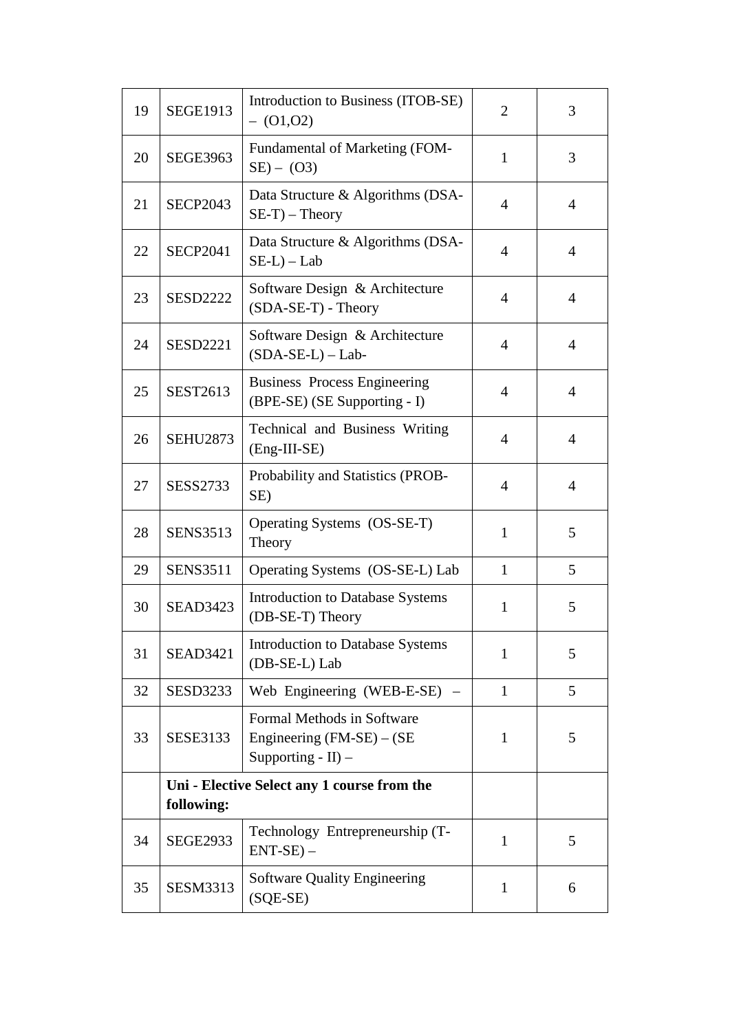| 19 | <b>SEGE1913</b>                                           | Introduction to Business (ITOB-SE)<br>$-$ (01,02)                                   | $\overline{2}$ | 3              |
|----|-----------------------------------------------------------|-------------------------------------------------------------------------------------|----------------|----------------|
| 20 | <b>SEGE3963</b>                                           | <b>Fundamental of Marketing (FOM-</b><br>$SE$ ) – (O3)                              | $\mathbf{1}$   | 3              |
| 21 | <b>SECP2043</b>                                           | Data Structure & Algorithms (DSA-<br>$SE-T$ – Theory                                | $\overline{4}$ | $\overline{4}$ |
| 22 | <b>SECP2041</b>                                           | Data Structure & Algorithms (DSA-<br>$SE-L$ – Lab                                   | $\overline{4}$ | $\overline{4}$ |
| 23 | <b>SESD2222</b>                                           | Software Design & Architecture<br>$(SDA-SE-T)$ - Theory                             | $\overline{4}$ | $\overline{4}$ |
| 24 | <b>SESD2221</b>                                           | Software Design & Architecture<br>$(SDA-SE-L) - Lab-$                               | $\overline{4}$ | $\overline{4}$ |
| 25 | <b>SEST2613</b>                                           | <b>Business Process Engineering</b><br>(BPE-SE) (SE Supporting - I)                 | $\overline{4}$ | $\overline{4}$ |
| 26 | <b>SEHU2873</b>                                           | Technical and Business Writing<br>(Eng-III-SE)                                      | $\overline{4}$ | $\overline{4}$ |
| 27 | <b>SESS2733</b>                                           | Probability and Statistics (PROB-<br>SE)                                            | $\overline{4}$ | $\overline{4}$ |
| 28 | <b>SENS3513</b>                                           | Operating Systems (OS-SE-T)<br>Theory                                               | $\mathbf{1}$   | 5              |
| 29 | <b>SENS3511</b>                                           | Operating Systems (OS-SE-L) Lab                                                     | $\mathbf{1}$   | 5              |
| 30 | <b>SEAD3423</b>                                           | <b>Introduction to Database Systems</b><br>(DB-SE-T) Theory                         | $\mathbf{1}$   | 5              |
| 31 | <b>SEAD3421</b>                                           | <b>Introduction to Database Systems</b><br>(DB-SE-L) Lab                            | $\mathbf{1}$   | 5              |
| 32 | <b>SESD3233</b>                                           | Web Engineering (WEB-E-SE)                                                          | $\mathbf{1}$   | 5              |
| 33 | <b>SESE3133</b>                                           | Formal Methods in Software<br>Engineering $(FM-SE) - (SE)$<br>Supporting - $II$ ) – | $\mathbf{1}$   | 5              |
|    | Uni - Elective Select any 1 course from the<br>following: |                                                                                     |                |                |
| 34 | <b>SEGE2933</b>                                           | Technology Entrepreneurship (T-<br>$ENT-SE$ ) –                                     | 1              | 5              |
| 35 | <b>SESM3313</b>                                           | <b>Software Quality Engineering</b><br>$(SQE-SE)$                                   | $\mathbf{1}$   | 6              |